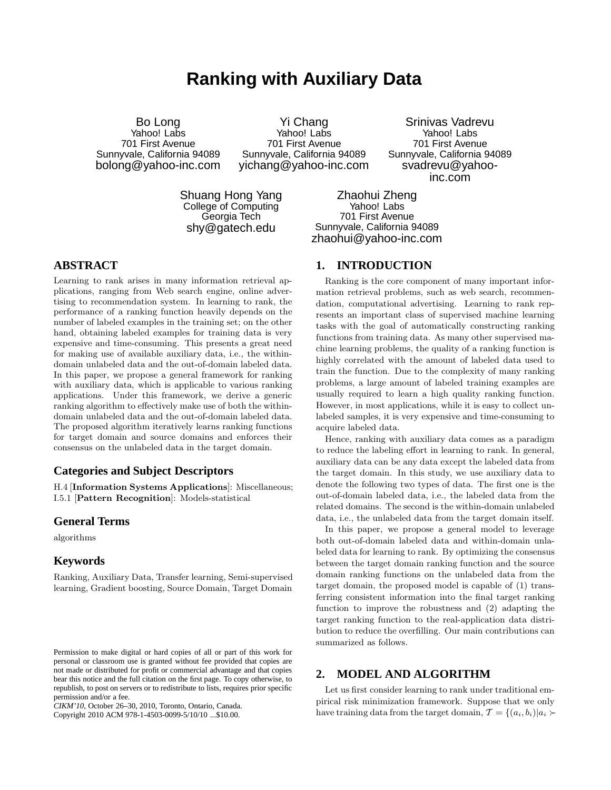# **Ranking with Auxiliary Data**

Bo Long Yahoo! Labs 701 First Avenue Sunnyvale, California 94089 bolong@yahoo-inc.com

Yi Chang Yahoo! Labs 701 First Avenue Sunnyvale, California 94089 yichang@yahoo-inc.com

Srinivas Vadrevu Yahoo! Labs 701 First Avenue Sunnyvale, California 94089 svadrevu@yahooinc.com

Shuang Hong Yang College of Computing Georgia Tech shy@gatech.edu

Zhaohui Zheng Yahoo! Labs 701 First Avenue Sunnyvale, California 94089 zhaohui@yahoo-inc.com

## **ABSTRACT**

Learning to rank arises in many information retrieval applications, ranging from Web search engine, online advertising to recommendation system. In learning to rank, the performance of a ranking function heavily depends on the number of labeled examples in the training set; on the other hand, obtaining labeled examples for training data is very expensive and time-consuming. This presents a great need for making use of available auxiliary data, i.e., the withindomain unlabeled data and the out-of-domain labeled data. In this paper, we propose a general framework for ranking with auxiliary data, which is applicable to various ranking applications. Under this framework, we derive a generic ranking algorithm to effectively make use of both the withindomain unlabeled data and the out-of-domain labeled data. The proposed algorithm iteratively learns ranking functions for target domain and source domains and enforces their consensus on the unlabeled data in the target domain.

## **Categories and Subject Descriptors**

H.4 [Information Systems Applications]: Miscellaneous; I.5.1 [Pattern Recognition]: Models-statistical

#### **General Terms**

algorithms

#### **Keywords**

Ranking, Auxiliary Data, Transfer learning, Semi-supervised learning, Gradient boosting, Source Domain, Target Domain

Copyright 2010 ACM 978-1-4503-0099-5/10/10 ...\$10.00.

#### **1. INTRODUCTION**

Ranking is the core component of many important information retrieval problems, such as web search, recommendation, computational advertising. Learning to rank represents an important class of supervised machine learning tasks with the goal of automatically constructing ranking functions from training data. As many other supervised machine learning problems, the quality of a ranking function is highly correlated with the amount of labeled data used to train the function. Due to the complexity of many ranking problems, a large amount of labeled training examples are usually required to learn a high quality ranking function. However, in most applications, while it is easy to collect unlabeled samples, it is very expensive and time-consuming to acquire labeled data.

Hence, ranking with auxiliary data comes as a paradigm to reduce the labeling effort in learning to rank. In general, auxiliary data can be any data except the labeled data from the target domain. In this study, we use auxiliary data to denote the following two types of data. The first one is the out-of-domain labeled data, i.e., the labeled data from the related domains. The second is the within-domain unlabeled data, i.e., the unlabeled data from the target domain itself.

In this paper, we propose a general model to leverage both out-of-domain labeled data and within-domain unlabeled data for learning to rank. By optimizing the consensus between the target domain ranking function and the source domain ranking functions on the unlabeled data from the target domain, the proposed model is capable of (1) transferring consistent information into the final target ranking function to improve the robustness and (2) adapting the target ranking function to the real-application data distribution to reduce the overfilling. Our main contributions can summarized as follows.

## **2. MODEL AND ALGORITHM**

Let us first consider learning to rank under traditional empirical risk minimization framework. Suppose that we only have training data from the target domain,  $\mathcal{T} = \{(a_i, b_i) | a_i \succ$ 

Permission to make digital or hard copies of all or part of this work for personal or classroom use is granted without fee provided that copies are not made or distributed for profit or commercial advantage and that copies bear this notice and the full citation on the first page. To copy otherwise, to republish, to post on servers or to redistribute to lists, requires prior specific permission and/or a fee.

*CIKM'10,* October 26–30, 2010, Toronto, Ontario, Canada.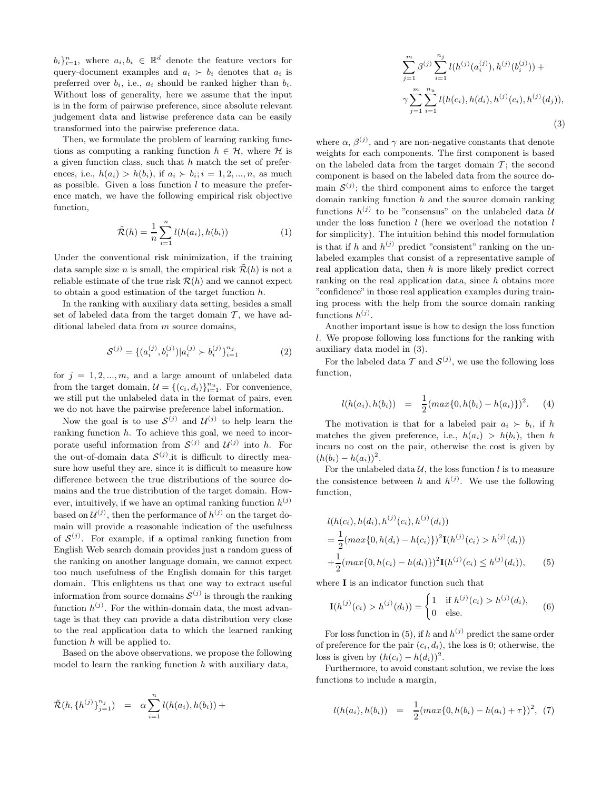$b_i\}_{i=1}^n$ , where  $a_i, b_i \in \mathbb{R}^d$  denote the feature vectors for query-document examples and  $a_i \succ b_i$  denotes that  $a_i$  is preferred over  $b_i$ , i.e.,  $a_i$  should be ranked higher than  $b_i$ . Without loss of generality, here we assume that the input is in the form of pairwise preference, since absolute relevant judgement data and listwise preference data can be easily transformed into the pairwise preference data.

Then, we formulate the problem of learning ranking functions as computing a ranking function  $h \in \mathcal{H}$ , where  $\mathcal H$  is a given function class, such that  $h$  match the set of preferences, i.e.,  $h(a_i) > h(b_i)$ , if  $a_i > b_i$ ;  $i = 1, 2, ..., n$ , as much as possible. Given a loss function  $l$  to measure the preference match, we have the following empirical risk objective function,

$$
\tilde{\mathcal{R}}(h) = \frac{1}{n} \sum_{i=1}^{n} l(h(a_i), h(b_i))
$$
\n(1)

Under the conventional risk minimization, if the training data sample size *n* is small, the empirical risk  $\tilde{\mathcal{R}}(h)$  is not a reliable estimate of the true risk  $\mathcal{R}(h)$  and we cannot expect to obtain a good estimation of the target function h.

In the ranking with auxiliary data setting, besides a small set of labeled data from the target domain  $\mathcal T$ , we have additional labeled data from m source domains,

$$
S^{(j)} = \{ (a_i^{(j)}, b_i^{(j)}) | a_i^{(j)} \succ b_i^{(j)} \}_{i=1}^{n_j}
$$
 (2)

for  $j = 1, 2, ..., m$ , and a large amount of unlabeled data from the target domain,  $\mathcal{U} = \{(c_i, d_i)\}_{i=1}^{n_u}$ . For convenience, we still put the unlabeled data in the format of pairs, even we do not have the pairwise preference label information.

Now the goal is to use  $S^{(j)}$  and  $\mathcal{U}^{(j)}$  to help learn the ranking function h. To achieve this goal, we need to incorporate useful information from  $\mathcal{S}^{(j)}$  and  $\mathcal{U}^{(j)}$  into h. For the out-of-domain data  $\mathcal{S}^{(j)}$ , it is difficult to directly measure how useful they are, since it is difficult to measure how difference between the true distributions of the source domains and the true distribution of the target domain. However, intuitively, if we have an optimal ranking function  $h^{(j)}$ based on  $\mathcal{U}^{(j)}$ , then the performance of  $h^{(j)}$  on the target domain will provide a reasonable indication of the usefulness of  $\mathcal{S}^{(j)}$ . For example, if a optimal ranking function from English Web search domain provides just a random guess of the ranking on another language domain, we cannot expect too much usefulness of the English domain for this target domain. This enlightens us that one way to extract useful information from source domains  $\mathcal{S}^{(j)}$  is through the ranking function  $h^{(j)}$ . For the within-domain data, the most advantage is that they can provide a data distribution very close to the real application data to which the learned ranking function  $h$  will be applied to.

Based on the above observations, we propose the following model to learn the ranking function  $h$  with auxiliary data,

$$
\tilde{\mathcal{R}}(h,\{h^{(j)}\}_{j=1}^{n_j}) = \alpha \sum_{i=1}^{n} l(h(a_i),h(b_i)) +
$$

$$
\sum_{j=1}^{m} \beta^{(j)} \sum_{i=1}^{n_j} l(h^{(j)}(a_i^{(j)}), h^{(j)}(b_i^{(j)})) +
$$
  

$$
\gamma \sum_{j=1}^{m} \sum_{i=1}^{n_u} l(h(c_i), h(d_i), h^{(j)}(c_i), h^{(j)}(d_j)),
$$
  
(3)

where  $\alpha$ ,  $\beta^{(j)}$ , and  $\gamma$  are non-negative constants that denote weights for each components. The first component is based on the labeled data from the target domain  $T$ ; the second component is based on the labeled data from the source domain  $\mathcal{S}^{(j)}$ ; the third component aims to enforce the target domain ranking function  $h$  and the source domain ranking functions  $h^{(j)}$  to be "consensus" on the unlabeled data U under the loss function  $l$  (here we overload the notation  $l$ for simplicity). The intuition behind this model formulation is that if h and  $h^{(j)}$  predict "consistent" ranking on the unlabeled examples that consist of a representative sample of real application data, then  $h$  is more likely predict correct ranking on the real application data, since h obtains more "confidence"in those real application examples during training process with the help from the source domain ranking functions  $h^{(j)}$ .

Another important issue is how to design the loss function l. We propose following loss functions for the ranking with auxiliary data model in (3).

For the labeled data T and  $\mathcal{S}^{(j)}$ , we use the following loss function,

$$
l(h(a_i), h(b_i)) = \frac{1}{2}(max\{0, h(b_i) - h(a_i)\})^2.
$$
 (4)

The motivation is that for a labeled pair  $a_i \succ b_i$ , if h matches the given preference, i.e.,  $h(a_i) > h(b_i)$ , then h incurs no cost on the pair, otherwise the cost is given by  $(h(b_i) - h(a_i))^2$ .

For the unlabeled data  $U$ , the loss function l is to measure the consistence between h and  $h^{(j)}$ . We use the following function,

$$
l(h(c_i), h(d_i), h^{(j)}(c_i), h^{(j)}(d_i))
$$
  
=  $\frac{1}{2} (max\{0, h(d_i) - h(c_i)\})^2 \mathbf{I}(h^{(j)}(c_i) > h^{(j)}(d_i))$   
+  $\frac{1}{2} (max\{0, h(c_i) - h(d_i)\})^2 \mathbf{I}(h^{(j)}(c_i) \le h^{(j)}(d_i)),$  (5)

where I is an indicator function such that

$$
\mathbf{I}(h^{(j)}(c_i) > h^{(j)}(d_i)) = \begin{cases} 1 & \text{if } h^{(j)}(c_i) > h^{(j)}(d_i), \\ 0 & \text{else.} \end{cases}
$$
(6)

For loss function in (5), if h and  $h^{(j)}$  predict the same order of preference for the pair  $(c_i, d_i)$ , the loss is 0; otherwise, the loss is given by  $(h(c_i) - h(d_i))^2$ .

Furthermore, to avoid constant solution, we revise the loss functions to include a margin,

$$
l(h(a_i), h(b_i)) = \frac{1}{2}(max\{0, h(b_i) - h(a_i) + \tau\})^2, (7)
$$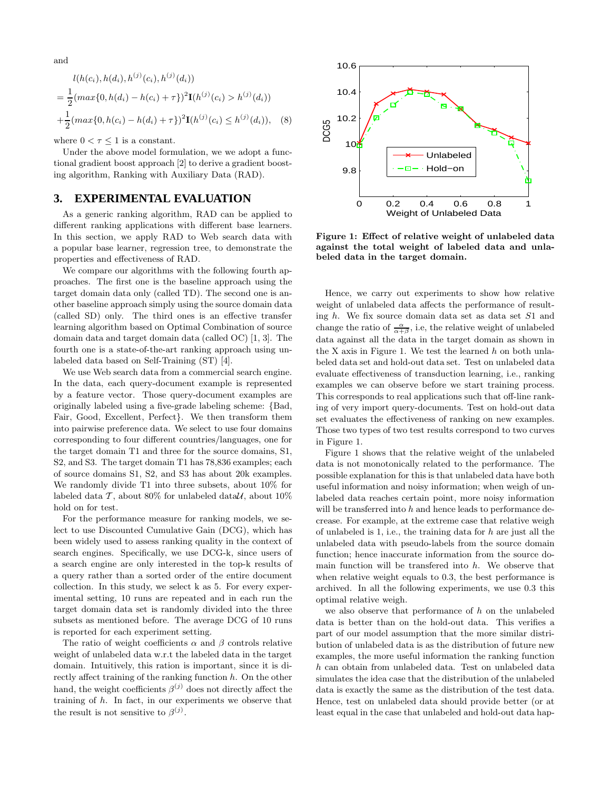and

$$
l(h(c_i), h(d_i), h^{(j)}(c_i), h^{(j)}(d_i))
$$
  
=  $\frac{1}{2} (max\{0, h(d_i) - h(c_i) + \tau\})^2 \mathbf{I}(h^{(j)}(c_i) > h^{(j)}(d_i))$   
+  $\frac{1}{2} (max\{0, h(c_i) - h(d_i) + \tau\})^2 \mathbf{I}(h^{(j)}(c_i) \le h^{(j)}(d_i)),$  (8)

where  $0 < \tau \leq 1$  is a constant.

Under the above model formulation, we we adopt a functional gradient boost approach [2] to derive a gradient boosting algorithm, Ranking with Auxiliary Data (RAD).

#### **3. EXPERIMENTAL EVALUATION**

As a generic ranking algorithm, RAD can be applied to different ranking applications with different base learners. In this section, we apply RAD to Web search data with a popular base learner, regression tree, to demonstrate the properties and effectiveness of RAD.

We compare our algorithms with the following fourth approaches. The first one is the baseline approach using the target domain data only (called TD). The second one is another baseline approach simply using the source domain data (called SD) only. The third ones is an effective transfer learning algorithm based on Optimal Combination of source domain data and target domain data (called OC) [1, 3]. The fourth one is a state-of-the-art ranking approach using unlabeled data based on Self-Training (ST) [4].

We use Web search data from a commercial search engine. In the data, each query-document example is represented by a feature vector. Those query-document examples are originally labeled using a five-grade labeling scheme: {Bad, Fair, Good, Excellent, Perfect}. We then transform them into pairwise preference data. We select to use four domains corresponding to four different countries/languages, one for the target domain T1 and three for the source domains, S1, S2, and S3. The target domain T1 has 78,836 examples; each of source domains S1, S2, and S3 has about 20k examples. We randomly divide T1 into three subsets, about 10% for labeled data  $\mathcal T$ , about 80% for unlabeled data $\mathcal U$ , about 10% hold on for test.

For the performance measure for ranking models, we select to use Discounted Cumulative Gain (DCG), which has been widely used to assess ranking quality in the context of search engines. Specifically, we use DCG-k, since users of a search engine are only interested in the top-k results of a query rather than a sorted order of the entire document collection. In this study, we select k as 5. For every experimental setting, 10 runs are repeated and in each run the target domain data set is randomly divided into the three subsets as mentioned before. The average DCG of 10 runs is reported for each experiment setting.

The ratio of weight coefficients  $\alpha$  and  $\beta$  controls relative weight of unlabeled data w.r.t the labeled data in the target domain. Intuitively, this ration is important, since it is directly affect training of the ranking function  $h$ . On the other hand, the weight coefficients  $\beta^{(j)}$  does not directly affect the training of h. In fact, in our experiments we observe that the result is not sensitive to  $\beta^{(j)}$ .



Figure 1: Effect of relative weight of unlabeled data against the total weight of labeled data and unlabeled data in the target domain.

Hence, we carry out experiments to show how relative weight of unlabeled data affects the performance of resulting h. We fix source domain data set as data set S1 and change the ratio of  $\frac{\alpha}{\alpha+\beta}$ , i.e, the relative weight of unlabeled data against all the data in the target domain as shown in the X axis in Figure 1. We test the learned  $h$  on both unlabeled data set and hold-out data set. Test on unlabeled data evaluate effectiveness of transduction learning, i.e., ranking examples we can observe before we start training process. This corresponds to real applications such that off-line ranking of very import query-documents. Test on hold-out data set evaluates the effectiveness of ranking on new examples. Those two types of two test results correspond to two curves in Figure 1.

Figure 1 shows that the relative weight of the unlabeled data is not monotonically related to the performance. The possible explanation for this is that unlabeled data have both useful information and noisy information; when weigh of unlabeled data reaches certain point, more noisy information will be transferred into  $h$  and hence leads to performance decrease. For example, at the extreme case that relative weigh of unlabeled is 1, i.e., the training data for  $h$  are just all the unlabeled data with pseudo-labels from the source domain function; hence inaccurate information from the source domain function will be transfered into  $h$ . We observe that when relative weight equals to 0.3, the best performance is archived. In all the following experiments, we use 0.3 this optimal relative weigh.

we also observe that performance of  $h$  on the unlabeled data is better than on the hold-out data. This verifies a part of our model assumption that the more similar distribution of unlabeled data is as the distribution of future new examples, the more useful information the ranking function h can obtain from unlabeled data. Test on unlabeled data simulates the idea case that the distribution of the unlabeled data is exactly the same as the distribution of the test data. Hence, test on unlabeled data should provide better (or at least equal in the case that unlabeled and hold-out data hap-